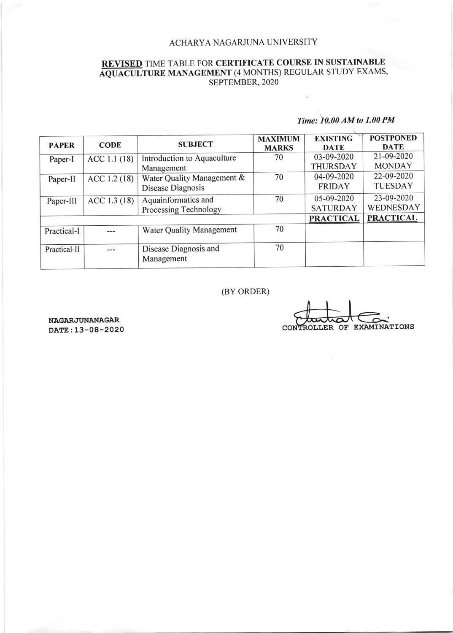### ACHARYA NAGARJUNA UNIVERSITY

# REVISED TIME TABLE FOR CERTIFICATE COURSE IN SUSTAINABLE AQUACULTURE MANAGEMENT (4 MONTHS) REGULAR STUDY EXAMS, SEPTEMBER, 2020

# Time: t0.00 AM to 1.00 PM

 $\epsilon$ 

| <b>PAPER</b> | <b>CODE</b> | <b>SUBJECT</b>                                  | <b>MAXIMUM</b><br><b>MARKS</b> | <b>EXISTING</b><br><b>DATE</b> | <b>POSTPONED</b><br><b>DATE</b> |
|--------------|-------------|-------------------------------------------------|--------------------------------|--------------------------------|---------------------------------|
| Paper-I      | ACC 1.1(18) | Introduction to Aquaculture<br>Management       | 70                             | 03-09-2020<br><b>THURSDAY</b>  | 21-09-2020<br><b>MONDAY</b>     |
| Paper-II     | ACC 1.2(18) | Water Quality Management &<br>Disease Diagnosis | 70                             | 04-09-2020<br><b>FRIDAY</b>    | 22-09-2020<br><b>TUESDAY</b>    |
| Paper-III    | ACC 1.3(18) | Aquainformatics and<br>Processing Technology    | 70                             | 05-09-2020<br><b>SATURDAY</b>  | 23-09-2020<br>WEDNESDAY         |
|              |             | <b>PRACTICAL</b>                                | <b>PRACTICAL</b>               |                                |                                 |
| Practical-I  |             | <b>Water Quality Management</b>                 | 70                             |                                |                                 |
| Practical-II |             | Disease Diagnosis and<br>Management             | 70                             |                                |                                 |

### (BY ORDER)

 $\overline{\Omega}$ CONTROLLER OF EXAMINATIONS

NAGARJUNANAGAR DATE:13-08-2020